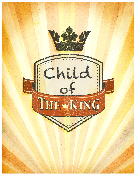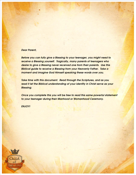## *Dear Parent,*

*Before you can fully give a Blessing to your teenager, you might need to receive a Blessing yourself. Tragically, many parents of teenagers who desire to give a Blessing never received one from their parents. Use this Biblical guide to receive a Blessing from your Heavenly Father. Take a moment and imagine God Himself speaking these words over you.*

*Take time with this document. Read through the Scriptures, and as you read it let the Biblical understanding of your identity in Christ serve as your Blessing.*

*Once you complete this you will be free to read this same powerful statement to your teenager during their Manhood or Womanhood Ceremony.*

*ENJOY!*

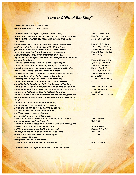## *"I am a Child of the King"*

*Because of who Jesus Christ is, and because He is my Savior and my Lord:*

*I am a child of the King of Kings and Lord of Lords, seated with Christ in the heavenly realm. I am chosen, accepted, and included – a citizen of heaven and a member of God's household.*

*I am loved by God unconditionally and without reservation. I belong to Him, having been bought by Him with the precious blood of Jesus. I have eternal life and will be saved from all of God's wrath to come – guaranteed! I am a Christian. I am not just different in what I do. My identity has changed. Who I am has changed. Everything has become brand new.*

*I am a dwelling place in which God lives by His Spirit. I have access to Him anytime, anywhere, for any reason. I am God's creation – His workmanship. I was created by Him and for Him, so who I am and what I do matters. I am spiritually alive. I have been set free from the fear of death and have been given life to live and enjoy to the full. I am forgiven – completely, totally, and absolutely. I have been rescued from the dominion of darkness and brought into the Kingdom of light – the Kingdom of the Son. I have been set free from the penalty of sin and the power of sin. I am an enemy of Satan and at war with spiritual forces of evil, but greater is He that is in me than he that is in the world. If God is for me, it doesn't matter who or what stands against me, because nothing and no one can separate me from the love of Christ –*

*not hurt, pain, loss, problem, or brokenness; not persecution, trouble, difficulty, or danger; not abandonment, abuse, addictions, or appetites; not desires, food, sexuality, or relationships; not life or death, angels or demons; not my past, the present, or the future; no power, no person, no place, not anything in all creation; not even Satan himself shall prevail. I am in the hands of Jesus, in the hands of God, and nothing and no one can snatch me out of God's hands. I will fear no evil because God is with me, and He has promised to never leave me nor forsake me. God's presence is with me everywhere I go – to the heights of heaven, through the valley of the shadow, to the ends of the earth – forever and always.*

*I am a child of the King and choose this day to live as one.*

*(Rev. 1:8, John 1:12) (Eph. 2:6, I Pet. 2:9) (John 14:1-6, Eph. 2:19)*

*(Rom. 5:6-8, I John 4:10) (I Peter 2:9, I Cor. 6:19) (I John 5:11-13, John 3:16) (Rom. 5:9, Eph. 1:13-14) (I Peter 4:16)*

*(II Cor. 5:17, Gal. 2:20) (Eph. 2:22, I Cor. 6:19) (Eph. 2:18, Phil. 4:6-7) (Ps. 139, Eph. 2:10) (Col. 1:16, Gal. 6:7-9) (Rom. 6:8-11, Heb. 2:14-15) (John 10:10) (I John 1:9, Ps. 103:8-13) (Col. 1:13)*

*(Rom. 6:16-23, Gal. 5:1) (I Peter 5:8, Eph. 6:12) (I John 4:4) (Rom. 8:31, Eph. 1:18-23)*

*(Rom. 8:35-39) (Col. 2:15)*

*(John 10:27-28) (Ps. 23:4, II Tim. 1:7) (Heb. 13:5) (Ps. 139:7)*

*(Matt. 28:19-20)*